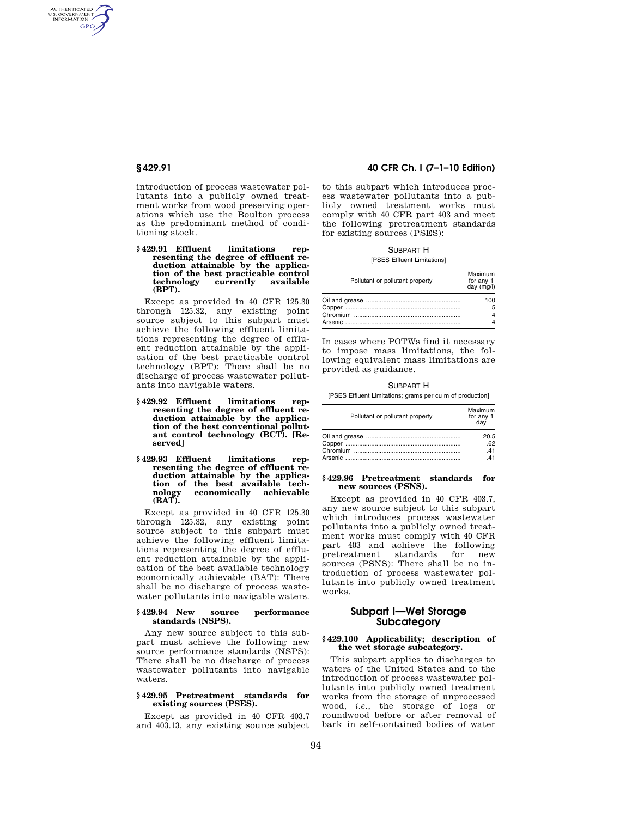AUTHENTICATED<br>U.S. GOVERNMENT<br>INFORMATION **GPO** 

> introduction of process wastewater pollutants into a publicly owned treatment works from wood preserving operations which use the Boulton process as the predominant method of conditioning stock.

## **§ 429.91 Effluent limitations representing the degree of effluent reduction attainable by the application of the best practicable control**  technology **(BPT).**

Except as provided in 40 CFR 125.30 through 125.32, any existing point source subject to this subpart must achieve the following effluent limitations representing the degree of effluent reduction attainable by the application of the best practicable control technology (BPT): There shall be no discharge of process wastewater pollutants into navigable waters.

- **§ 429.92 Effluent limitations representing the degree of effluent reduction attainable by the application of the best conventional pollutant control technology (BCT). [Reserved]**
- **§ 429.93 Effluent limitations representing the degree of effluent reduction attainable by the application of the best available technology economically achievable (BAT).**

Except as provided in 40 CFR 125.30 through 125.32, any existing point source subject to this subpart must achieve the following effluent limitations representing the degree of effluent reduction attainable by the application of the best available technology economically achievable (BAT): There shall be no discharge of process wastewater pollutants into navigable waters.

## **§ 429.94 New source performance standards (NSPS).**

Any new source subject to this subpart must achieve the following new source performance standards (NSPS): There shall be no discharge of process wastewater pollutants into navigable waters.

# **§ 429.95 Pretreatment standards for existing sources (PSES).**

Except as provided in 40 CFR 403.7 and 403.13, any existing source subject

# **§ 429.91 40 CFR Ch. I (7–1–10 Edition)**

to this subpart which introduces process wastewater pollutants into a publicly owned treatment works must comply with 40 CFR part 403 and meet the following pretreatment standards for existing sources (PSES):

SUBPART H [PSES Effluent Limitations]

| Pollutant or pollutant property | Maximum<br>for any 1<br>day (mg/l) |
|---------------------------------|------------------------------------|
|                                 | 100                                |

In cases where POTWs find it necessary to impose mass limitations, the following equivalent mass limitations are provided as guidance.

#### SUBPART H

[PSES Effluent Limitations; grams per cu m of production]

| Pollutant or pollutant property | Maximum<br>for any 1<br>dav |
|---------------------------------|-----------------------------|
|                                 | 20.5                        |
|                                 | 62                          |
|                                 | 41                          |
|                                 | $\Lambda$ <sup>1</sup>      |

## **§ 429.96 Pretreatment standards for new sources (PSNS).**

Except as provided in 40 CFR 403.7, any new source subject to this subpart which introduces process wastewater pollutants into a publicly owned treatment works must comply with 40 CFR part 403 and achieve the following pretreatment standards for new sources (PSNS): There shall be no introduction of process wastewater pollutants into publicly owned treatment works.

# **Subpart I—Wet Storage Subcategory**

# **§ 429.100 Applicability; description of the wet storage subcategory.**

This subpart applies to discharges to waters of the United States and to the introduction of process wastewater pollutants into publicly owned treatment works from the storage of unprocessed wood, *i.e.*, the storage of logs or roundwood before or after removal of bark in self-contained bodies of water